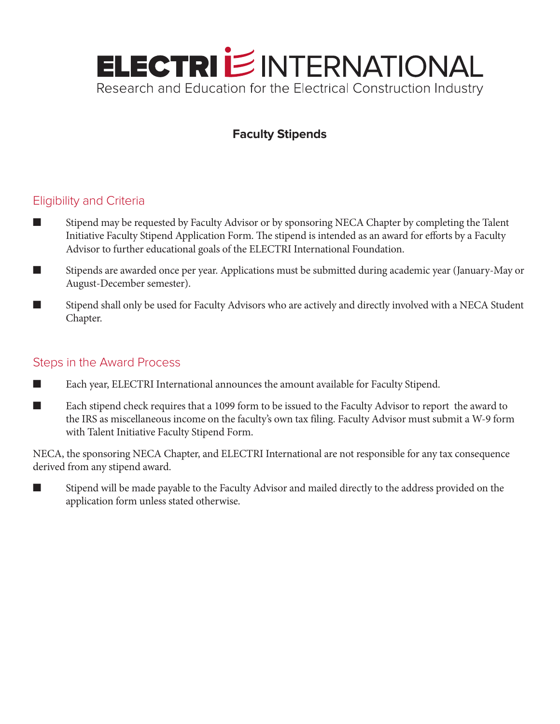

## **Faculty Stipends**

## Eligibility and Criteria

- Stipend may be requested by Faculty Advisor or by sponsoring NECA Chapter by completing the Talent Initiative Faculty Stipend Application Form. The stipend is intended as an award for efforts by a Faculty Advisor to further educational goals of the ELECTRI International Foundation.
- Stipends are awarded once per year. Applications must be submitted during academic year (January-May or August-December semester).
- Stipend shall only be used for Faculty Advisors who are actively and directly involved with a NECA Student Chapter.

## Steps in the Award Process

- n Each year, ELECTRI International announces the amount available for Faculty Stipend.
- n Each stipend check requires that a 1099 form to be issued to the Faculty Advisor to report the award to the IRS as miscellaneous income on the faculty's own tax filing. Faculty Advisor must submit a W-9 form with Talent Initiative Faculty Stipend Form.

NECA, the sponsoring NECA Chapter, and ELECTRI International are not responsible for any tax consequence derived from any stipend award.

Stipend will be made payable to the Faculty Advisor and mailed directly to the address provided on the application form unless stated otherwise.